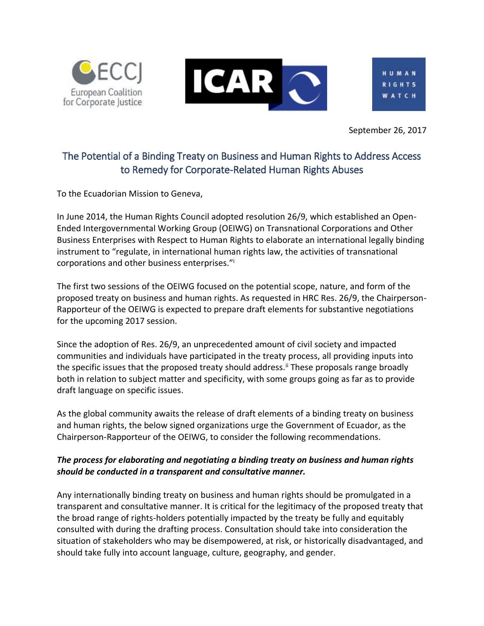



September 26, 2017

# The Potential of a Binding Treaty on Business and Human Rights to Address Access to Remedy for Corporate-Related Human Rights Abuses

To the Ecuadorian Mission to Geneva,

In June 2014, the Human Rights Council adopted resolution 26/9, which established an Open-Ended Intergovernmental Working Group (OEIWG) on Transnational Corporations and Other Business Enterprises with Respect to Human Rights to elaborate an international legally binding instrument to "regulate, in international human rights law, the activities of transnational corporations and other business enterprises."<sup>i</sup>

The first two sessions of the OEIWG focused on the potential scope, nature, and form of the proposed treaty on business and human rights. As requested in HRC Res. 26/9, the Chairperson-Rapporteur of the OEIWG is expected to prepare draft elements for substantive negotiations for the upcoming 2017 session.

Since the adoption of Res. 26/9, an unprecedented amount of civil society and impacted communities and individuals have participated in the treaty process, all providing inputs into the specific issues that the proposed treaty should address.<sup>ii</sup> These proposals range broadly both in relation to subject matter and specificity, with some groups going as far as to provide draft language on specific issues.

As the global community awaits the release of draft elements of a binding treaty on business and human rights, the below signed organizations urge the Government of Ecuador, as the Chairperson-Rapporteur of the OEIWG, to consider the following recommendations.

# *The process for elaborating and negotiating a binding treaty on business and human rights should be conducted in a transparent and consultative manner.*

Any internationally binding treaty on business and human rights should be promulgated in a transparent and consultative manner. It is critical for the legitimacy of the proposed treaty that the broad range of rights-holders potentially impacted by the treaty be fully and equitably consulted with during the drafting process. Consultation should take into consideration the situation of stakeholders who may be disempowered, at risk, or historically disadvantaged, and should take fully into account language, culture, geography, and gender.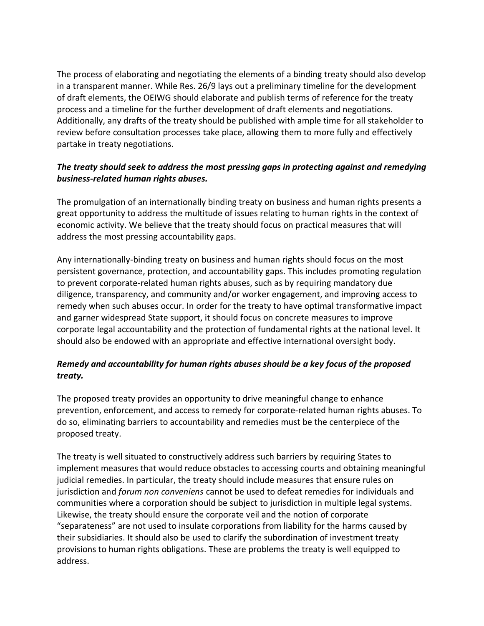The process of elaborating and negotiating the elements of a binding treaty should also develop in a transparent manner. While Res. 26/9 lays out a preliminary timeline for the development of draft elements, the OEIWG should elaborate and publish terms of reference for the treaty process and a timeline for the further development of draft elements and negotiations. Additionally, any drafts of the treaty should be published with ample time for all stakeholder to review before consultation processes take place, allowing them to more fully and effectively partake in treaty negotiations.

### *The treaty should seek to address the most pressing gaps in protecting against and remedying business-related human rights abuses.*

The promulgation of an internationally binding treaty on business and human rights presents a great opportunity to address the multitude of issues relating to human rights in the context of economic activity. We believe that the treaty should focus on practical measures that will address the most pressing accountability gaps.

Any internationally-binding treaty on business and human rights should focus on the most persistent governance, protection, and accountability gaps. This includes promoting regulation to prevent corporate-related human rights abuses, such as by requiring mandatory due diligence, transparency, and community and/or worker engagement, and improving access to remedy when such abuses occur. In order for the treaty to have optimal transformative impact and garner widespread State support, it should focus on concrete measures to improve corporate legal accountability and the protection of fundamental rights at the national level. It should also be endowed with an appropriate and effective international oversight body.

# *Remedy and accountability for human rights abuses should be a key focus of the proposed treaty.*

The proposed treaty provides an opportunity to drive meaningful change to enhance prevention, enforcement, and access to remedy for corporate-related human rights abuses. To do so, eliminating barriers to accountability and remedies must be the centerpiece of the proposed treaty.

The treaty is well situated to constructively address such barriers by requiring States to implement measures that would reduce obstacles to accessing courts and obtaining meaningful judicial remedies. In particular, the treaty should include measures that ensure rules on jurisdiction and *forum non conveniens* cannot be used to defeat remedies for individuals and communities where a corporation should be subject to jurisdiction in multiple legal systems. Likewise, the treaty should ensure the corporate veil and the notion of corporate "separateness" are not used to insulate corporations from liability for the harms caused by their subsidiaries. It should also be used to clarify the subordination of investment treaty provisions to human rights obligations. These are problems the treaty is well equipped to address.